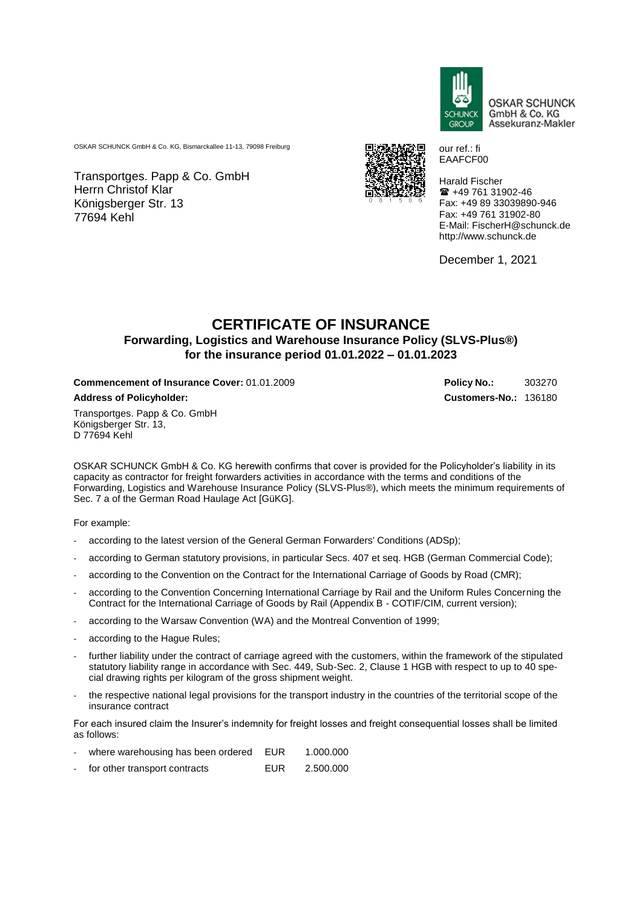

our ref.: fi EAAFCF00

**OSKAR SCHUNCK** GmbH & Co. KG Assekuranz-Makler

OSKAR SCHUNCK GmbH & Co. KG, Bismarckallee 11-13, 79098 Freiburg

Transportges. Papp & Co. GmbH Herrn Christof Klar Königsberger Str. 13 77694 Kehl



Harald Fischer +49 761 31902-46 Fax: +49 89 33039890-946 Fax: +49 761 31902-80 E-Mail: FischerH@schunck.de http://www.schunck.de

December 1, 2021

## **CERTIFICATE OF INSURANCE Forwarding, Logistics and Warehouse Insurance Policy (SLVS-Plus®) for the insurance period 01.01.2022 – 01.01.2023**

**Commencement of Insurance Cover: 01.01.2009 <b>Policy No.:** 303270

**Address of Policyholder: Customers-No.:** 136180

Transportges. Papp & Co. GmbH Königsberger Str. 13, D 77694 Kehl

OSKAR SCHUNCK GmbH & Co. KG herewith confirms that cover is provided for the Policyholder's liability in its capacity as contractor for freight forwarders activities in accordance with the terms and conditions of the Forwarding, Logistics and Warehouse Insurance Policy (SLVS-Plus®), which meets the minimum requirements of Sec. 7 a of the German Road Haulage Act [GüKG].

For example:

- according to the latest version of the General German Forwarders' Conditions (ADSp);
- according to German statutory provisions, in particular Secs. 407 et seq. HGB (German Commercial Code);
- according to the Convention on the Contract for the International Carriage of Goods by Road (CMR);
- according to the Convention Concerning International Carriage by Rail and the Uniform Rules Concerning the Contract for the International Carriage of Goods by Rail (Appendix B - COTIF/CIM, current version);
- according to the Warsaw Convention (WA) and the Montreal Convention of 1999;
- according to the Hague Rules;
- further liability under the contract of carriage agreed with the customers, within the framework of the stipulated statutory liability range in accordance with Sec. 449, Sub-Sec. 2, Clause 1 HGB with respect to up to 40 special drawing rights per kilogram of the gross shipment weight.
- the respective national legal provisions for the transport industry in the countries of the territorial scope of the insurance contract

For each insured claim the Insurer's indemnity for freight losses and freight consequential losses shall be limited as follows:

|  | where warehousing has been ordered | EUR | 1.000.000 |
|--|------------------------------------|-----|-----------|
|--|------------------------------------|-----|-----------|

- for other transport contracts EUR 2.500.000